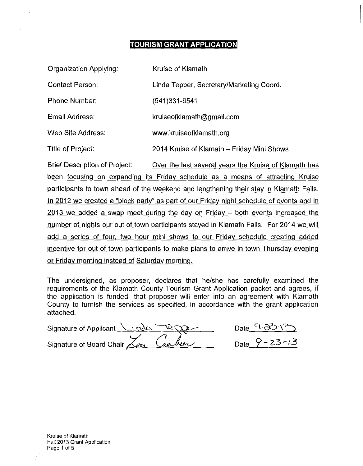# **TOURISM GRANT APPLICATION**

| <b>Organization Applying:</b> | Kruise of Klamath                          |
|-------------------------------|--------------------------------------------|
| <b>Contact Person:</b>        | Linda Tepper, Secretary/Marketing Coord.   |
| <b>Phone Number:</b>          | $(541)331-6541$                            |
| Email Address:                | kruiseofklamath@gmail.com                  |
| Web Site Address:             | www.kruiseofklamath.org                    |
| Title of Project:             | 2014 Kruise of Klamath – Friday Mini Shows |

Brief Description of Project: Over the last several years the Kruise of Klamath has been focusing on expanding its Friday schedule as a means of attracting Kruise participants to town ahead of the weekend and lengthening their stay in Klamath Falls. In 2012 we created a "block party" as part of our Friday night schedule of events and in 2013 we added a swap meet during the day on Friday- both events increased the number of nights our out of town participants stayed in Klamath Falls. For 2014 we will add a series of four, two hour mini shows to our Friday schedule creating added incentive for out of town participants to make plans to arrive in town Thursday evening or Friday morning instead of Saturday morning.

The undersigned, as proposer, declares that he/she has carefully examined the requirements of the Klamath County Tourism Grant Application packet and agrees, if the application is funded, that proposer will enter into an agreement with Klamath County to furnish the services as specified, in accordance with the grant application attached.

| Signature of Applicant $\sqrt{\cos 7}$ |  |
|----------------------------------------|--|
| Signature of Board Chair Zon Capber    |  |

Date  $9.831^2$ Date  $9 - 23 - 13$ 

Kruise of Klamath Fall2013 Grant Application Page 1 of 5

 $\overline{I}$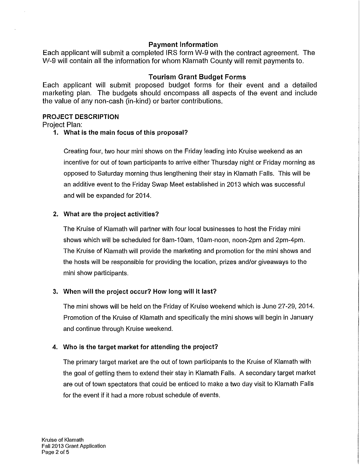# **Payment Information**

Each applicant will submit a completed IRS form W-9 with the contract agreement. The W-9 will contain all the information for whom Klamath County will remit payments to.

## **Tourism Grant Budget Forms**

Each applicant will submit proposed budget forms for their event and a detailed marketing plan. The budgets should encompass all aspects of the event and include the value of any non-cash (in-kind) or barter contributions.

#### **PROJECT DESCRIPTION**

Project Plan:

**1. What is the main focus of this proposal?** 

Creating four, two hour mini shows on the Friday leading into Kruise weekend as an incentive for out of town participants to arrive either Thursday night or Friday morning as opposed to Saturday morning thus lengthening their stay in Klamath Falls. This will be an additive event to the Friday Swap Meet established in 2013 which was successful and will be expanded for 2014.

# **2. What are the project activities?**

The Kruise of Klamath will partner with four local businesses to host the Friday mini shows which will be scheduled for 8am-10am, 10am-noon, noon-2pm and 2pm-4pm. The Kruise of Klamath will provide the marketing and promotion for the mini shows and the hosts will be responsible for providing the location, prizes and/or giveaways to the mini show participants.

## **3. When will the project occur? How long will it last?**

The mini shows will be held on the Friday of Kruise weekend which is June 27-29, 2014. Promotion of the Kruise of Klamath and specifically the mini shows will begin in January and continue through Kruise weekend.

# **4. Who is the target market for attending the project?**

The primary target market are the out of town participants to the Kruise of Klamath with the goal of getting them to extend their stay in Klamath Falls. A secondary target market are out of town spectators that could be enticed to make a two day visit to Klamath Falls for the event if it had a more robust schedule of events.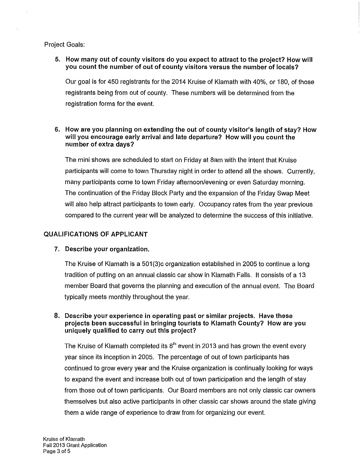Project Goals:

## **5. How many out of county visitors do you expect to attract to the project? How will you count the number of out of county visitors versus the number of locals?**

Our goal is for 450 registrants for the 2014 Kruise of Klamath with 40%, or 180, of those registrants being from out of county. These numbers will be determined from the registration forms for the event.

## **6. How are you planning on extending the out of county visitor's length of stay? How will you encourage early arrival and late departure? How will you count the number of extra days?**

The mini shows are scheduled to start on Friday at Sam with the intent that Kruise participants will come to town Thursday night in order to attend all the shows. Currently, many participants come to town Friday afternoon/evening or even Saturday morning. The continuation of the Friday Block Party and the expansion of the Friday Swap Meet will also help attract participants to town early. Occupancy rates from the year previous compared to the current year will be analyzed to determine the success of this initiative.

## **QUALIFICATIONS OF APPLICANT**

## **7. Describe your organization.**

The Kruise of Klamath is a 501 (3)c organization established in 2005 to continue a long tradition of putting on an annual classic car show in Klamath Falls. It consists of a 13 member Board that governs the planning and execution of the annual event. The Board typically meets monthly throughout the year.

## **8. Describe your experience in operating past or similar projects. Have these projects been successful in bringing tourists to Klamath County? How are you uniquely qualified to carry out this project?**

The Kruise of Klamath completed its  $8^{\text{th}}$  event in 2013 and has grown the event every year since its inception in 2005. The percentage of out of town participants has continued to grow every year and the Kruise organization is continually looking for ways to expand the event and increase both out of town participation and the length of stay from those out of town participants. Our Board members are not only classic car owners themselves but also active participants in other classic car shows around the state giving them a wide range of experience to draw from for organizing our event.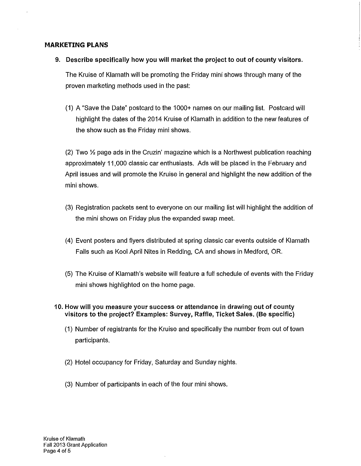#### **MARKETING PLANS**

**9. Describe specifically how you will market the project to out of county visitors.** 

The Kruise of Klamath will be promoting the Friday mini shows through many of the proven marketing methods used in the past:

(1) A "Save the Date" postcard to the 1000+ names on our mailing list. Postcard will highlight the dates of the 2014 Kruise of Klamath in addition to the new features of the show such as the Friday mini shows.

 $(2)$  Two  $\frac{1}{2}$  page ads in the Cruzin' magazine which is a Northwest publication reaching approximately 11,000 classic car enthusiasts. Ads will be placed in the February and April issues and will promote the Kruise in general and highlight the new addition of the mini shows.

- (3) Registration packets sent to everyone on our mailing list will highlight the addition of the mini shows on Friday plus the expanded swap meet.
- (4) Event posters and flyers distributed at spring classic car events outside of Klamath Falls such as Kool April Niles in Redding, CA and shows in Medford, OR.
- (5) The Kruise of Klamath's website will feature a full schedule of events with the Friday mini shows highlighted on the home page.
- **10. How will you measure your success or attendance in drawing out of county visitors to the project? Examples: Survey, Raffle, Ticket Sales. (Be specific)** 
	- (1) Number of registrants for the Kruise and specifically the number from out of town participants.
	- (2) Hotel occupancy for Friday, Saturday and Sunday nights.
	- (3) Number of participants in each of the four mini shows.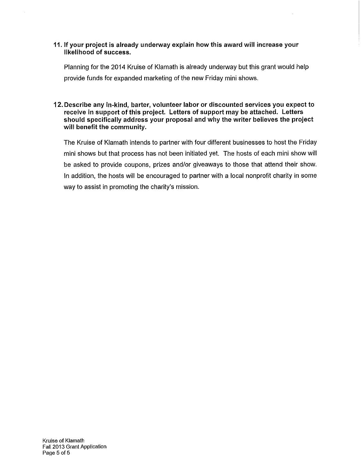#### 11. If your project is already underway explain how this award will increase your likelihood of success.

Planning for the 2014 Kruise of Klamath is already underway but this grant would help provide funds for expanded marketing of the new Friday mini shows.

12. Describe any in-kind, barter, volunteer labor or discounted services you expect to receive in support of this project. Letters of support may be attached. Letters should specifically address your proposal and why the writer believes the project will benefit the community.

The Kruise of Klamath intends to partner with four different businesses to host the Friday mini shows but that process has not been initiated yet. The hosts of each mini show will be asked to provide coupons, prizes and/or giveaways to those that attend their show. In addition, the hosts will be encouraged to partner with a local nonprofit charity in some way to assist in promoting the charity's mission.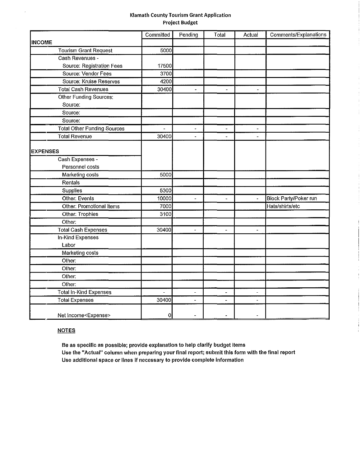#### Klamath County Tourism Grant Application Project Budget

 $\begin{array}{c} \vdots \\ \vdots \end{array}$  $\frac{1}{2}$ 

÷

ĵ.

|                                    | Committed      | Pending                  | Total          | Actual                   | Comments/Explanations |
|------------------------------------|----------------|--------------------------|----------------|--------------------------|-----------------------|
| <b>INCOME</b>                      |                |                          |                |                          |                       |
| <b>Tourism Grant Request</b>       | 5000           |                          |                |                          |                       |
| Cash Revenues -                    |                |                          |                |                          |                       |
| Source: Registration Fees          | 17500          |                          |                |                          |                       |
| Source: Vendor Fees                | 3700           |                          |                |                          |                       |
| Source: Kruise Reserves            | 4200           |                          |                |                          |                       |
| <b>Total Cash Revenues</b>         | 30400          | a,                       | ÷,             | ÷.                       |                       |
| Other Funding Sources:             |                |                          |                |                          |                       |
| Source:                            |                |                          |                |                          |                       |
| Source:                            |                |                          |                |                          |                       |
| Source:                            |                |                          |                |                          |                       |
| <b>Total Other Funding Sources</b> | $\overline{a}$ | ä,                       | $\overline{a}$ | ÷.                       |                       |
| <b>Total Revenue</b>               | 30400          | L.                       | $\overline{a}$ | $\overline{a}$           |                       |
|                                    |                |                          |                |                          |                       |
| <b>EXPENSES</b>                    |                |                          |                |                          |                       |
| Cash Expenses -                    |                |                          |                |                          |                       |
| Personnel costs                    |                |                          |                |                          |                       |
| Marketing costs                    | 5000           |                          |                |                          |                       |
| Rentals                            |                |                          |                |                          |                       |
| Supplies                           | 5300           |                          |                |                          |                       |
| Other: Events                      | 10000          | $\overline{a}$           | L.             | $\overline{\phantom{a}}$ | Block Party/Poker run |
| Other: Promotional Items           | 7000           |                          |                |                          | Hats/shirts/etc       |
| Other: Trophies                    | 3100           |                          |                |                          |                       |
| Other:                             |                |                          |                |                          |                       |
| <b>Total Cash Expenses</b>         | 30400          | $\ddot{\phantom{0}}$     |                |                          |                       |
| In-Kind Expenses                   |                |                          |                |                          |                       |
| Labor                              |                |                          |                |                          |                       |
| <b>Marketing costs</b>             |                |                          |                |                          |                       |
| Other:                             |                |                          |                |                          |                       |
| Other.                             |                |                          |                |                          |                       |
| Other:                             |                |                          |                |                          |                       |
| Other.                             |                |                          |                |                          |                       |
| <b>Total In-Kind Expenses</b>      |                | $\overline{\phantom{a}}$ |                | ٠                        |                       |
| <b>Total Expenses</b>              | 30400          | $\overline{a}$           | u.             | ÷,                       |                       |
|                                    |                |                          |                |                          |                       |
| Net Income <expense></expense>     | 0              |                          |                |                          |                       |

#### **NOTES**

J.

Be as specific as possible; provide explanation to help clarify budget Items Use the "Actual" column when preparing your final report; submit this form with the final report Use additional space or lines if necessary to provide complete Information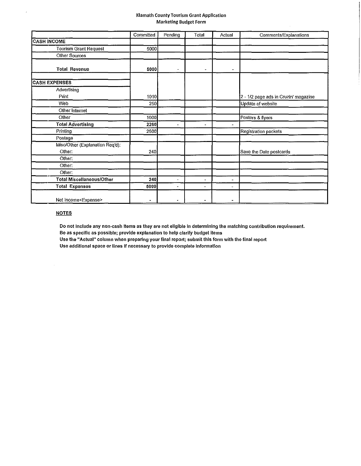#### Klamath County Tourism Grant Application Marketing Budget Form

|                                           | Committed                | Pending                  | Total          | Actual                   | Comments/Explanations                |
|-------------------------------------------|--------------------------|--------------------------|----------------|--------------------------|--------------------------------------|
| <b>CASH INCOME</b>                        |                          |                          |                |                          |                                      |
| <b>Tourism Grant Request</b>              | 5000                     |                          |                |                          |                                      |
| Other Sources                             |                          |                          |                |                          |                                      |
| <b>Total Revenue</b>                      | 5000                     | -                        |                |                          |                                      |
| <b>CASH EXPENSES</b>                      |                          |                          |                |                          |                                      |
| Advertising                               |                          |                          |                |                          |                                      |
| Print                                     | 1010                     |                          |                |                          | 2 - 1/2 page ads in Cruzin' magazine |
| Web                                       | 250                      |                          |                |                          | Update of website                    |
| Other Internet                            |                          |                          |                |                          |                                      |
| Other                                     | 1000                     |                          |                |                          | Posters & flyers                     |
| <b>Total Advertising</b>                  | 2260                     | $\overline{\phantom{0}}$ | ۰              |                          |                                      |
| Printing                                  | 2500                     |                          |                |                          | Registration packets                 |
| Postage                                   |                          |                          |                |                          |                                      |
| Misc/Other (Explanation Req'd):<br>Other: | 240                      |                          |                |                          | Save the Date postcards              |
| Other:                                    |                          |                          |                |                          |                                      |
| Other:                                    |                          |                          |                |                          |                                      |
| Other:                                    |                          |                          |                |                          |                                      |
| <b>Total Miscellaneous/Other</b>          | 240                      | $\blacksquare$           | $\blacksquare$ | $\overline{a}$           |                                      |
| <b>Total Expenses</b>                     | 5000                     | $\overline{\phantom{0}}$ | $\frac{1}{2}$  | $\overline{\phantom{a}}$ |                                      |
| Net Income <expense></expense>            | $\overline{\phantom{a}}$ | $\overline{\phantom{a}}$ | $\blacksquare$ |                          |                                      |

#### **NOTES**

 $\hat{\alpha}$ 

 $\hat{\mathcal{L}}$ 

Do not include any non-cash items as they are not eligible in determining the matching contribution requirement.

Be as specific as possible; provide explanation to help clarify budget items

Use the "Actual" column when preparing your final report; submit this form with the final report

Use additional space or lines if necessary to provide complete information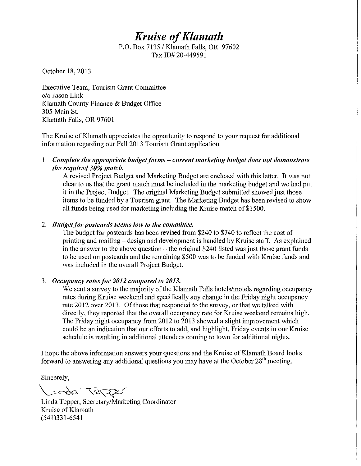# *Kruise of Klamath*

P.O. Box 7135/ Klamath Falls, OR 97602 Tax ID# 20-449591

October 18,2013

Executive Team, Tourism Grant Committee c/o Jason Link Klamath County Finance & Budget Office 305 Main St. Klamath Falls, OR 97601

The Kruise of Klamath appreciates the opportunity to respond to your request for additional information regarding our Fall 2013 Tourism Grant application.

I. *Complete the appropriate budget forms- current marketing bra/get does uot demonstrate the required 30% match.* 

A revised Project Budget and Marketing Budget are enclosed with this letter. It was not clear to us that the grant match must be included in the marketing budget and we had put it in the Project Budget. The original Marketing Budget submitted showed just those items to be fimded by a Tourism grant. The Marketing Budget has been revised to show all funds being used for marketing including the Kruise match of \$1500.

# 2. *Budget for postcards seems low to the committee.*

The budget for postcards has been revised from \$240 to \$740 to reflect the cost of printing and mailing - design and development is handled by Kruise staff. As explained in the answer to the above question  $-$  the original \$240 listed was just those grant funds to be used on postcards and the remaining \$500 was to be funded with Kmise funds and was included in the overall Project Budget.

# 3. *Occupancy rates for 2012 compared to 2013*.

We sent a survey to the majority of the Klamath Falls hotels/motels regarding occupancy rates during Kruise weekend and specifically any change in the Friday night occupancy rate 2012 over 2013. Of those that responded to the survey, or that we talked with directly, they reported that the overall occupancy rate for Kruise weekend remains high. The Friday night occupancy from 2012 to 2013 showed a slight improvement which could be an indication that our efforts to add, and highlight, Friday events in our Kruise schedule is resulting in additional attendees coming to town for additional nights.

I hope the above information answers your questions and the Kruise of Klamath Board looks forward to answering any additional questions you may have at the October  $28<sup>th</sup>$  meeting.

Sincerely,

Linda Tepper

Linda Tepper, Secretary/Marketing Coordinator Kruise of Klamath (541)331-6541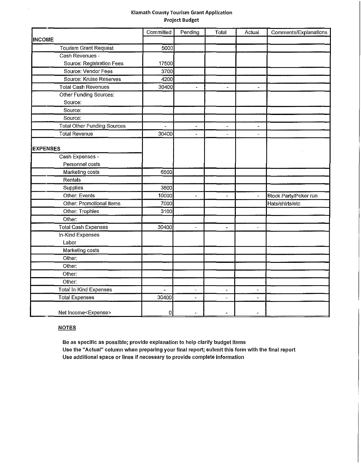#### Klamath County Tourism Grant Application Project Budget

|                                    | Committed | Pending        | Total                    | Actual                   | Comments/Explanations |
|------------------------------------|-----------|----------------|--------------------------|--------------------------|-----------------------|
| <b>INCOME</b>                      |           |                |                          |                          |                       |
| <b>Tourism Grant Request</b>       | 5000      |                |                          |                          |                       |
| Cash Revenues -                    |           |                |                          |                          |                       |
| Source: Registration Fees          | 17500     |                |                          |                          |                       |
| Source: Vendor Fees                | 3700      |                |                          |                          |                       |
| Source: Kruise Reserves            | 4200      |                |                          |                          |                       |
| <b>Total Cash Revenues</b>         | 30400     | u,             | $\overline{\phantom{a}}$ | $\overline{\phantom{a}}$ |                       |
| Other Funding Sources:             |           |                |                          |                          |                       |
| Source:                            |           |                |                          |                          |                       |
| Source:                            |           |                |                          |                          |                       |
| Source:                            |           |                |                          |                          |                       |
| <b>Total Other Funding Sources</b> | $\sim$    | ÷,             | $\blacksquare$           | $\Delta$                 |                       |
| <b>Total Revenue</b>               | 30400     | $\overline{a}$ | $\overline{a}$           | $\overline{a}$           |                       |
|                                    |           |                |                          |                          |                       |
| <b>EXPENSES</b>                    |           |                |                          |                          |                       |
| Cash Expenses -                    |           |                |                          |                          |                       |
| Personnel costs                    |           |                |                          |                          |                       |
| Marketing costs                    | 6500      |                |                          |                          |                       |
| Rentals                            |           |                |                          |                          |                       |
| Supplies                           | 3800      |                |                          |                          |                       |
| Other: Events                      | 10000     | ú,             | ä,                       | $\blacksquare$           | Block Party/Poker run |
| <b>Other: Promotional Items</b>    | 7000      |                |                          |                          | Hats/shirts/etc       |
| Other: Trophies                    | 3100      |                |                          |                          |                       |
| Other:                             |           |                |                          |                          |                       |
| <b>Total Cash Expenses</b>         | 30400     | ÷.             | ä,                       | $\overline{a}$           |                       |
| In-Kind Expenses                   |           |                |                          |                          |                       |
| Labor                              |           |                |                          |                          |                       |
| Marketing costs                    |           |                |                          |                          |                       |
| Other:                             |           |                |                          |                          |                       |
| Other:                             |           |                |                          |                          |                       |
| Other:                             |           |                |                          |                          |                       |
| Other:                             |           |                |                          |                          |                       |
| Total In-Kind Expenses             |           |                |                          | $\cdot$                  |                       |
| <b>Total Expenses</b>              | 30400     | $\overline{a}$ | $\overline{a}$           | $\overline{a}$           |                       |
| Net Income <expense></expense>     | 0         |                |                          |                          |                       |

#### **NOTES**

 $\overline{\phantom{a}}$ 

Be as specific as possible; provide explanation to help clarify budget items Use the "Actual" column when preparing your final report; submit this form with the final report Use additional space or lines if necessary to provide complete information